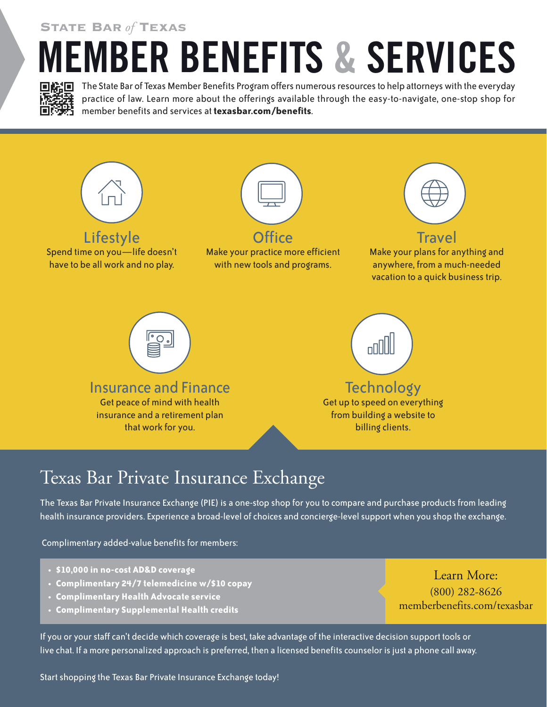State Bar *of* Texas

## **MEMBER BENEFITS & SERVICES**



The State Bar of Texas Member Benefits Program offers numerous resources to help attorneys with the everyday practice of law. Learn more about the offerings available through the easy-to-navigate, one-stop shop for member benefits and services at **texasbar.com/benefits**.



## Texas Bar Private Insurance Exchange

The Texas Bar Private Insurance Exchange (PIE) is a one-stop shop for you to compare and purchase products from leading health insurance providers. Experience a broad-level of choices and concierge-level support when you shop the exchange.

Complimentary added-value benefits for members:

- **• \$10,000 in no-cost AD&D coverage**
- **• Complimentary 24/7 telemedicine w/\$10 copay**
- **• Complimentary Health Advocate service**
- **• Complimentary Supplemental Health credits**

If you or your staff can't decide which coverage is best, take advantage of the interactive decision support tools or live chat. If a more personalized approach is preferred, then a licensed benefits counselor is just a phone call away.

Start shopping the Texas Bar Private Insurance Exchange today!

Learn More: (800) 282-8626 memberbenefits.com/texasbar